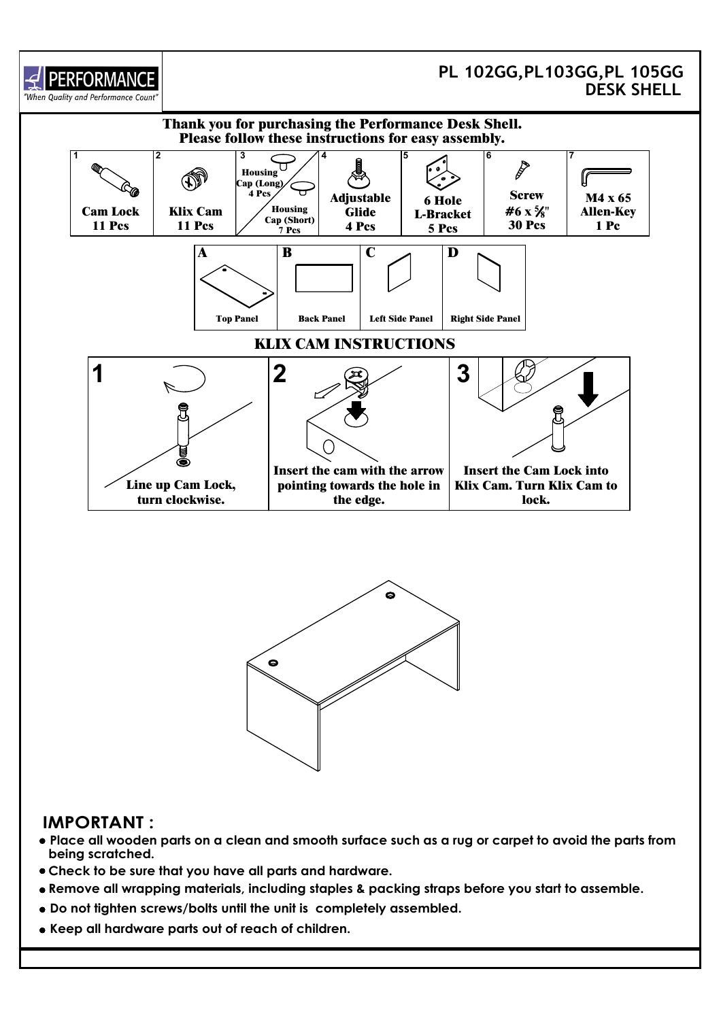

## **IMPORTANT :**

- **Place all wooden parts on a clean and smooth surface such as a rug or carpet to avoid the parts from being scratched.**
- **Check to be sure that you have all parts and hardware.**
- **Remove all wrapping materials, including staples & packing straps before you start to assemble.**
- **Do not tighten screws/bolts until the unit is completely assembled.**
- **Keep all hardware parts out of reach of children.**